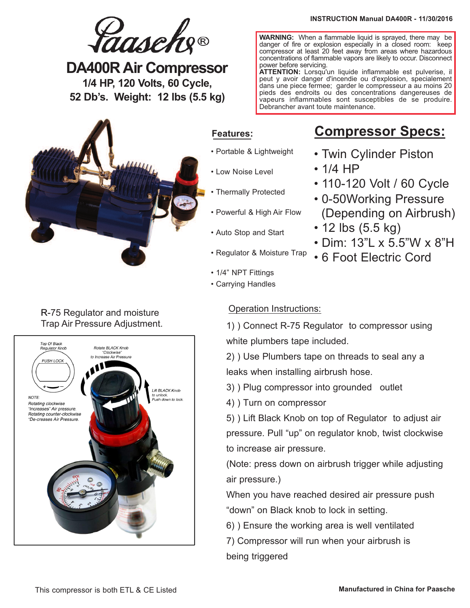**WARNING:** When a flammable liquid is sprayed, there may be danger of fire or explosion especially in a closed room: keep compressor at least 20 feet away from areas where hazardous concentrations of flammable vapors are likely to occur. Disconnect

**ATTENTION:** Lorsqu'un liquide inflammable est pulverise, il peut y avoir danger d'incendie ou d'explosion, specialement dans une piece fermee; garder le compresseur a au moins 20 pieds des endroits ou des concentrations dangereuses de vapeurs inflammables sont susceptibles de se produire.



**DA400R Air Compressor 1/4 HP, 120 Volts, 60 Cycle, 52 Db's. Weight: 12 lbs (5.5 kg)**



## **Features:**

• Portable & Lightweight

power before servicing.

- Low Noise Level
- Thermally Protected
- Powerful & High Air Flow
- Auto Stop and Start

• 1/4" NPT Fittings • Carrying Handles

- **Compressor Specs:**
- Twin Cylinder Piston
- 1/4 HP

Debrancher avant toute maintenance.

- 110-120 Volt / 60 Cycle
- 0-50Working Pressure (Depending on Airbrush)
- 12 lbs (5.5 kg)
- Dim: 13"L x 5.5"W x 8"H
- 6 Foot Electric Cord

R-75 Regulator and moisture

# Trap Air Pressure Adjustment.



## Operation Instructions:

1) ) Connect R-75 Regulator to compressor using white plumbers tape included.

2) ) Use Plumbers tape on threads to seal any a leaks when installing airbrush hose.

3) ) Plug compressor into grounded outlet

4) ) Turn on compressor

5) ) Lift Black Knob on top of Regulator to adjust air pressure. Pull "up" on regulator knob, twist clockwise to increase air pressure.

(Note: press down on airbrush trigger while adjusting air pressure.)

When you have reached desired air pressure push "down" on Black knob to lock in setting.

- 6) ) Ensure the working area is well ventilated
- 7) Compressor will run when your airbrush is being triggered